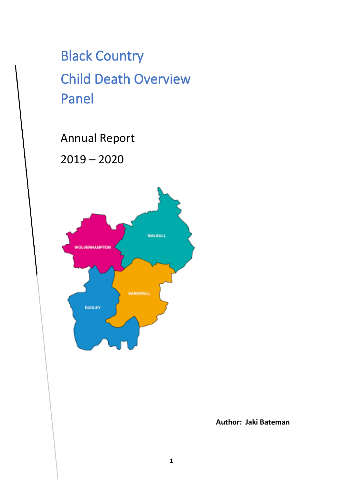# Black Country Child Death Overview Panel

Annual Report

2019 – 2020



**Author: Jaki Bateman**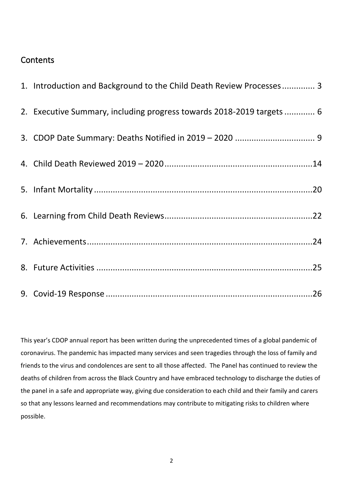### **Contents**

| 1. Introduction and Background to the Child Death Review Processes 3  |
|-----------------------------------------------------------------------|
| 2. Executive Summary, including progress towards 2018-2019 targets  6 |
|                                                                       |
|                                                                       |
|                                                                       |
|                                                                       |
|                                                                       |
|                                                                       |
|                                                                       |

This year's CDOP annual report has been written during the unprecedented times of a global pandemic of coronavirus. The pandemic has impacted many services and seen tragedies through the loss of family and friends to the virus and condolences are sent to all those affected. The Panel has continued to review the deaths of children from across the Black Country and have embraced technology to discharge the duties of the panel in a safe and appropriate way, giving due consideration to each child and their family and carers so that any lessons learned and recommendations may contribute to mitigating risks to children where possible.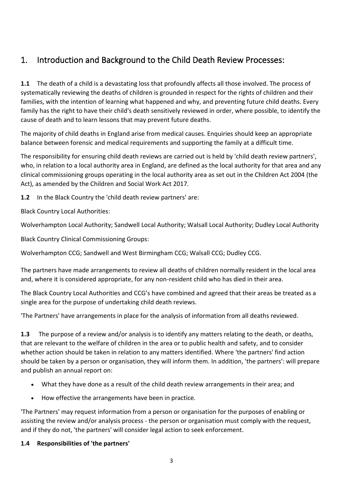## <span id="page-2-0"></span>1. Introduction and Background to the Child Death Review Processes:

**1.1** The death of a child is a devastating loss that profoundly affects all those involved. The process of systematically reviewing the deaths of children is grounded in respect for the rights of children and their families, with the intention of learning what happened and why, and preventing future child deaths. Every family has the right to have their child's death sensitively reviewed in order, where possible, to identify the cause of death and to learn lessons that may prevent future deaths.

The majority of child deaths in England arise from medical causes. Enquiries should keep an appropriate balance between forensic and medical requirements and supporting the family at a difficult time.

The responsibility for ensuring child death reviews are carried out is held by 'child death review partners', who, in relation to a local authority area in England, are defined as the local authority for that area and any clinical commissioning groups operating in the local authority area as set out in the Children Act 2004 (the Act), as amended by the Children and Social Work Act 2017.

**1.2** In the Black Country the 'child death review partners' are:

Black Country Local Authorities:

Wolverhampton Local Authority; Sandwell Local Authority; Walsall Local Authority; Dudley Local Authority

Black Country Clinical Commissioning Groups:

Wolverhampton CCG; Sandwell and West Birmingham CCG; Walsall CCG; Dudley CCG.

The partners have made arrangements to review all deaths of children normally resident in the local area and, where it is considered appropriate, for any non-resident child who has died in their area.

The Black Country Local Authorities and CCG's have combined and agreed that their areas be treated as a single area for the purpose of undertaking child death reviews.

'The Partners' have arrangements in place for the analysis of information from all deaths reviewed.

**1.3** The purpose of a review and/or analysis is to identify any matters relating to the death, or deaths, that are relevant to the welfare of children in the area or to public health and safety, and to consider whether action should be taken in relation to any matters identified. Where 'the partners' find action should be taken by a person or organisation, they will inform them. In addition, 'the partners': will prepare and publish an annual report on:

- What they have done as a result of the child death review arrangements in their area; and
- How effective the arrangements have been in practice.

'The Partners' may request information from a person or organisation for the purposes of enabling or assisting the review and/or analysis process - the person or organisation must comply with the request, and if they do not, 'the partners' will consider legal action to seek enforcement.

#### **1.4 Responsibilities of 'the partners'**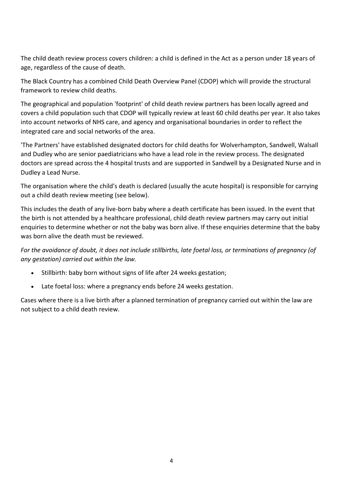The child death review process covers children: a child is defined in the Act as a person under 18 years of age, regardless of the cause of death.

The Black Country has a combined Child Death Overview Panel (CDOP) which will provide the structural framework to review child deaths.

The geographical and population 'footprint' of child death review partners has been locally agreed and covers a child population such that CDOP will typically review at least 60 child deaths per year. It also takes into account networks of NHS care, and agency and organisational boundaries in order to reflect the integrated care and social networks of the area.

'The Partners' have established designated doctors for child deaths for Wolverhampton, Sandwell, Walsall and Dudley who are senior paediatricians who have a lead role in the review process. The designated doctors are spread across the 4 hospital trusts and are supported in Sandwell by a Designated Nurse and in Dudley a Lead Nurse.

The organisation where the child's death is declared (usually the acute hospital) is responsible for carrying out a child death review meeting (see below).

This includes the death of any live-born baby where a death certificate has been issued. In the event that the birth is not attended by a healthcare professional, child death review partners may carry out initial enquiries to determine whether or not the baby was born alive. If these enquiries determine that the baby was born alive the death must be reviewed.

*For the avoidance of doubt, it does not include stillbirths, late foetal loss, or terminations of pregnancy (of any gestation) carried out within the law.*

- Stillbirth: baby born without signs of life after 24 weeks gestation;
- Late foetal loss: where a pregnancy ends before 24 weeks gestation.

Cases where there is a live birth after a planned termination of pregnancy carried out within the law are not subject to a child death review.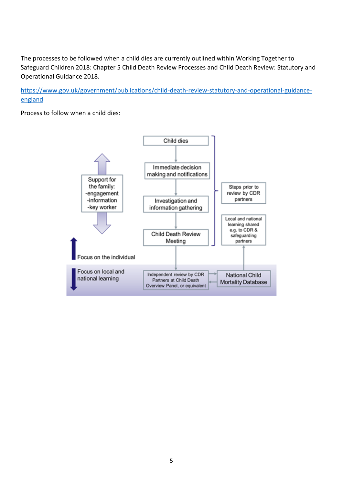The processes to be followed when a child dies are currently outlined within Working Together to Safeguard Children 2018: Chapter 5 Child Death Review Processes and Child Death Review: Statutory and Operational Guidance 2018.

[https://www.gov.uk/government/publications/child-death-review-statutory-and-operational-guidance](https://www.gov.uk/government/publications/child-death-review-statutory-and-operational-guidance-england)[england](https://www.gov.uk/government/publications/child-death-review-statutory-and-operational-guidance-england)

Process to follow when a child dies:

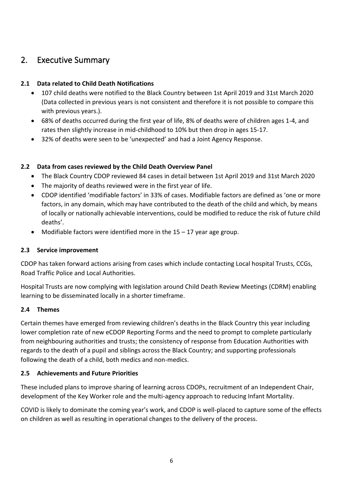### <span id="page-5-0"></span>2. Executive Summary

#### **2.1 Data related to Child Death Notifications**

- 107 child deaths were notified to the Black Country between 1st April 2019 and 31st March 2020 (Data collected in previous years is not consistent and therefore it is not possible to compare this with previous years.).
- 68% of deaths occurred during the first year of life, 8% of deaths were of children ages 1-4, and rates then slightly increase in mid-childhood to 10% but then drop in ages 15-17.
- 32% of deaths were seen to be 'unexpected' and had a Joint Agency Response.

#### **2.2 Data from cases reviewed by the Child Death Overview Panel**

- The Black Country CDOP reviewed 84 cases in detail between 1st April 2019 and 31st March 2020
- The majority of deaths reviewed were in the first year of life.
- CDOP identified 'modifiable factors' in 33% of cases. Modifiable factors are defined as 'one or more factors, in any domain, which may have contributed to the death of the child and which, by means of locally or nationally achievable interventions, could be modified to reduce the risk of future child deaths'.
- Modifiable factors were identified more in the  $15 17$  year age group.

#### **2.3 Service improvement**

CDOP has taken forward actions arising from cases which include contacting Local hospital Trusts, CCGs, Road Traffic Police and Local Authorities.

Hospital Trusts are now complying with legislation around Child Death Review Meetings (CDRM) enabling learning to be disseminated locally in a shorter timeframe.

#### **2.4 Themes**

Certain themes have emerged from reviewing children's deaths in the Black Country this year including lower completion rate of new eCDOP Reporting Forms and the need to prompt to complete particularly from neighbouring authorities and trusts; the consistency of response from Education Authorities with regards to the death of a pupil and siblings across the Black Country; and supporting professionals following the death of a child, both medics and non-medics.

### **2.5 Achievements and Future Priorities**

These included plans to improve sharing of learning across CDOPs, recruitment of an Independent Chair, development of the Key Worker role and the multi-agency approach to reducing Infant Mortality.

COVID is likely to dominate the coming year's work, and CDOP is well-placed to capture some of the effects on children as well as resulting in operational changes to the delivery of the process.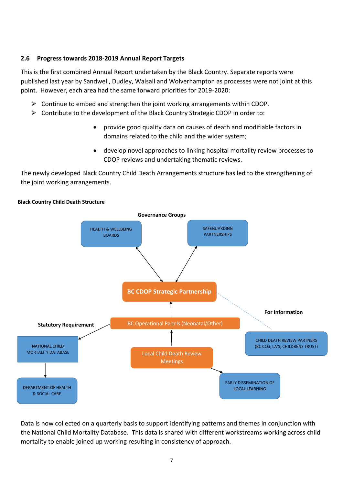#### **2.6 Progress towards 2018-2019 Annual Report Targets**

This is the first combined Annual Report undertaken by the Black Country. Separate reports were published last year by Sandwell, Dudley, Walsall and Wolverhampton as processes were not joint at this point. However, each area had the same forward priorities for 2019-2020:

- $\triangleright$  Continue to embed and strengthen the joint working arrangements within CDOP.
- $\triangleright$  Contribute to the development of the Black Country Strategic CDOP in order to:
	- provide good quality data on causes of death and modifiable factors in domains related to the child and the wider system;
	- develop novel approaches to linking hospital mortality review processes to CDOP reviews and undertaking thematic reviews.

The newly developed Black Country Child Death Arrangements structure has led to the strengthening of the joint working arrangements.



Data is now collected on a quarterly basis to support identifying patterns and themes in conjunction with the National Child Mortality Database. This data is shared with different workstreams working across child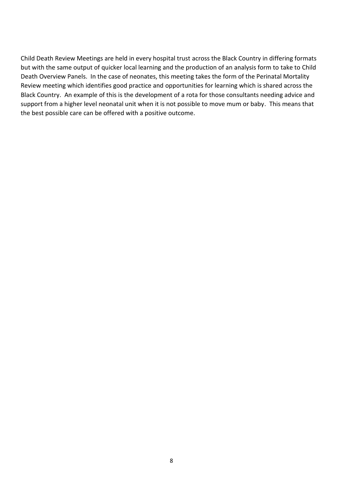Child Death Review Meetings are held in every hospital trust across the Black Country in differing formats but with the same output of quicker local learning and the production of an analysis form to take to Child Death Overview Panels. In the case of neonates, this meeting takes the form of the Perinatal Mortality Review meeting which identifies good practice and opportunities for learning which is shared across the Black Country. An example of this is the development of a rota for those consultants needing advice and support from a higher level neonatal unit when it is not possible to move mum or baby. This means that the best possible care can be offered with a positive outcome.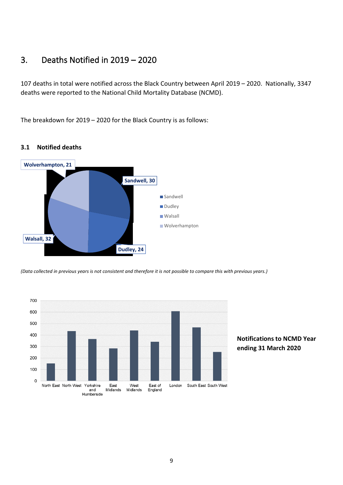## <span id="page-8-0"></span>3. Deaths Notified in 2019 – 2020

107 deaths in total were notified across the Black Country between April 2019 – 2020. Nationally, 3347 deaths were reported to the National Child Mortality Database (NCMD).

The breakdown for 2019 – 2020 for the Black Country is as follows:



#### **3.1 Notified deaths**

*(Data collected in previous years is not consistent and therefore it is not possible to compare this with previous years.)*



#### **Notifications to NCMD Year ending 31 March 2020**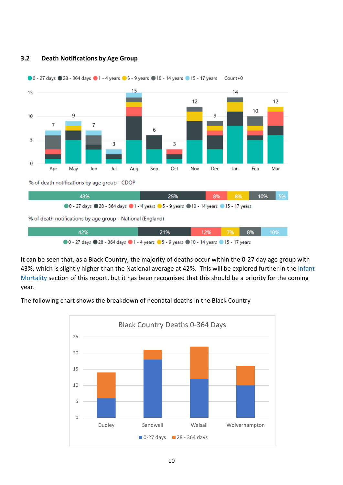

#### **3.2 Death Notifications by Age Group**

It can be seen that, as a Black Country, the majority of deaths occur within the 0-27 day age group with 43%, which is slightly higher than the National average at 42%. This will be explored further in the Infant [Mortality](#page-19-0) section of this report, but it has been recognised that this should be a priority for the coming year.

The following chart shows the breakdown of neonatal deaths in the Black Country

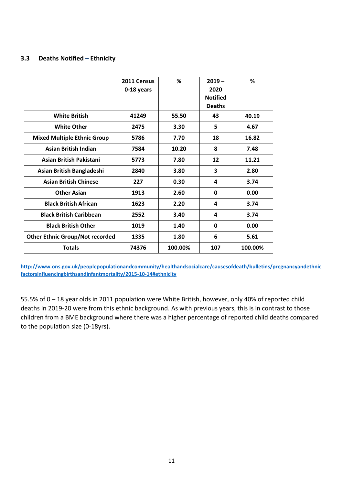#### **3.3 Deaths Notified – Ethnicity**

|                                        | 2011 Census | %       | $2019 -$                | %       |
|----------------------------------------|-------------|---------|-------------------------|---------|
|                                        | 0-18 years  |         | 2020<br><b>Notified</b> |         |
|                                        |             |         | <b>Deaths</b>           |         |
| <b>White British</b>                   | 41249       | 55.50   | 43                      | 40.19   |
| <b>White Other</b>                     | 2475        | 3.30    | 5                       | 4.67    |
| <b>Mixed Multiple Ethnic Group</b>     | 5786        | 7.70    | 18                      | 16.82   |
| <b>Asian British Indian</b>            | 7584        | 10.20   | 8                       | 7.48    |
| Asian British Pakistani                | 5773        | 7.80    | $12 \overline{ }$       | 11.21   |
| Asian British Bangladeshi              | 2840        | 3.80    | 3                       | 2.80    |
| <b>Asian British Chinese</b>           | 227         | 0.30    | 4                       | 3.74    |
| <b>Other Asian</b>                     | 1913        | 2.60    | 0                       | 0.00    |
| <b>Black British African</b>           | 1623        | 2.20    | 4                       | 3.74    |
| <b>Black British Caribbean</b>         | 2552        | 3.40    | 4                       | 3.74    |
| <b>Black British Other</b>             | 1019        | 1.40    | 0                       | 0.00    |
| <b>Other Ethnic Group/Not recorded</b> | 1335        | 1.80    | 6                       | 5.61    |
| <b>Totals</b>                          | 74376       | 100.00% | 107                     | 100.00% |

**[http://www.ons.gov.uk/peoplepopulationandcommunity/healthandsocialcare/causesofdeath/bulletins/pregnancyandethnic](http://www.ons.gov.uk/peoplepopulationandcommunity/healthandsocialcare/causesofdeath/bulletins/pregnancyandethnicfactorsinfluencingbirthsandinfantmortality/2015-10-14#ethnicity) [factorsinfluencingbirthsandinfantmortality/2015-10-14#ethnicity](http://www.ons.gov.uk/peoplepopulationandcommunity/healthandsocialcare/causesofdeath/bulletins/pregnancyandethnicfactorsinfluencingbirthsandinfantmortality/2015-10-14#ethnicity)**

55.5% of 0 – 18 year olds in 2011 population were White British, however, only 40% of reported child deaths in 2019-20 were from this ethnic background. As with previous years, this is in contrast to those children from a BME background where there was a higher percentage of reported child deaths compared to the population size (0-18yrs).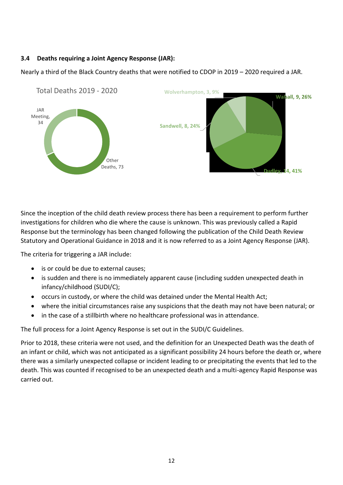#### **3.4 Deaths requiring a Joint Agency Response (JAR):**

Nearly a third of the Black Country deaths that were notified to CDOP in 2019 – 2020 required a JAR.



Since the inception of the child death review process there has been a requirement to perform further investigations for children who die where the cause is unknown. This was previously called a Rapid Response but the terminology has been changed following the publication of the Child Death Review Statutory and Operational Guidance in 2018 and it is now referred to as a Joint Agency Response (JAR).

The criteria for triggering a JAR include:

- is or could be due to external causes;
- is sudden and there is no immediately apparent cause (including sudden unexpected death in infancy/childhood (SUDI/C);
- occurs in custody, or where the child was detained under the Mental Health Act;
- where the initial circumstances raise any suspicions that the death may not have been natural; or
- in the case of a stillbirth where no healthcare professional was in attendance.

The full process for a Joint Agency Response is set out in the SUDI/C Guidelines.

Prior to 2018, these criteria were not used, and the definition for an Unexpected Death was the death of an infant or child, which was not anticipated as a significant possibility 24 hours before the death or, where there was a similarly unexpected collapse or incident leading to or precipitating the events that led to the death. This was counted if recognised to be an unexpected death and a multi-agency Rapid Response was carried out.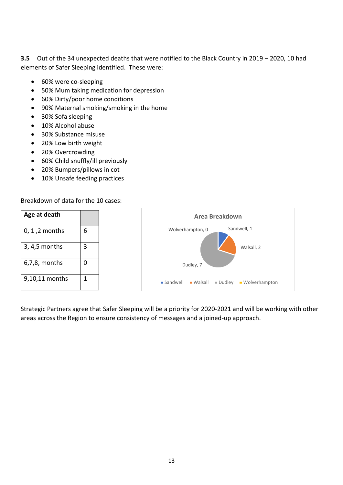**3.5** Out of the 34 unexpected deaths that were notified to the Black Country in 2019 – 2020, 10 had elements of Safer Sleeping identified. These were:

- 60% were co-sleeping
- 50% Mum taking medication for depression
- 60% Dirty/poor home conditions
- 90% Maternal smoking/smoking in the home
- 30% Sofa sleeping
- 10% Alcohol abuse
- 30% Substance misuse
- 20% Low birth weight
- 20% Overcrowding
- 60% Child snuffly/ill previously
- 20% Bumpers/pillows in cot
- 10% Unsafe feeding practices

Breakdown of data for the 10 cases:

| Age at death     |   | <b>Area Breakdown</b>                                               |
|------------------|---|---------------------------------------------------------------------|
| $0, 1, 2$ months | 6 | Sandwell, 1<br>Wolverhampton, 0                                     |
| 3, 4,5 months    | 3 | Walsall, 2                                                          |
| $6,7,8$ , months | 0 | Dudley, 7                                                           |
| 9,10,11 months   | 1 | ■ Sandwell<br>■ Wolverhampton<br>■ Walsall<br>$\blacksquare$ Dudley |

Strategic Partners agree that Safer Sleeping will be a priority for 2020-2021 and will be working with other areas across the Region to ensure consistency of messages and a joined-up approach.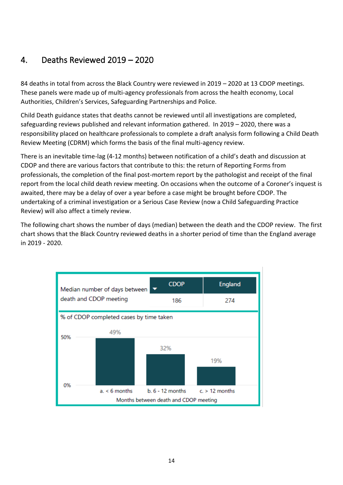## <span id="page-13-0"></span>4. Deaths Reviewed 2019 – 2020

84 deaths in total from across the Black Country were reviewed in 2019 – 2020 at 13 CDOP meetings. These panels were made up of multi-agency professionals from across the health economy, Local Authorities, Children's Services, Safeguarding Partnerships and Police.

Child Death guidance states that deaths cannot be reviewed until all investigations are completed, safeguarding reviews published and relevant information gathered. In 2019 – 2020, there was a responsibility placed on healthcare professionals to complete a draft analysis form following a Child Death Review Meeting (CDRM) which forms the basis of the final multi-agency review.

There is an inevitable time-lag (4-12 months) between notification of a child's death and discussion at CDOP and there are various factors that contribute to this: the return of Reporting Forms from professionals, the completion of the final post-mortem report by the pathologist and receipt of the final report from the local child death review meeting. On occasions when the outcome of a Coroner's inquest is awaited, there may be a delay of over a year before a case might be brought before CDOP. The undertaking of a criminal investigation or a Serious Case Review (now a Child Safeguarding Practice Review) will also affect a timely review.

The following chart shows the number of days (median) between the death and the CDOP review. The first chart shows that the Black Country reviewed deaths in a shorter period of time than the England average in 2019 - 2020.

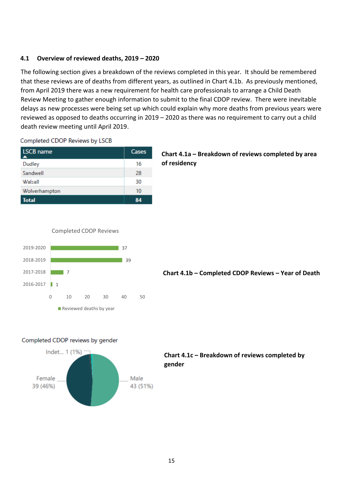#### **4.1 Overview of reviewed deaths, 2019 – 2020**

The following section gives a breakdown of the reviews completed in this year. It should be remembered that these reviews are of deaths from different years, as outlined in Chart 4.1b. As previously mentioned, from April 2019 there was a new requirement for health care professionals to arrange a Child Death Review Meeting to gather enough information to submit to the final CDOP review. There were inevitable delays as new processes were being set up which could explain why more deaths from previous years were reviewed as opposed to deaths occurring in 2019 – 2020 as there was no requirement to carry out a child death review meeting until April 2019.

#### Completed CDOP Reviews by LSCB

| <b>LSCB</b> name<br>∡ | <b>Cases</b> |
|-----------------------|--------------|
| Dudley                | 16           |
| Sandwell              | 28           |
| Walsall               | 30           |
| Wolverhampton         | 10           |
| <b>Total</b>          |              |

#### **Chart 4.1a – Breakdown of reviews completed by area of residency**





**Chart 4.1b – Completed CDOP Reviews – Year of Death**

#### Completed CDOP reviews by gender



#### **Chart 4.1c – Breakdown of reviews completed by gender**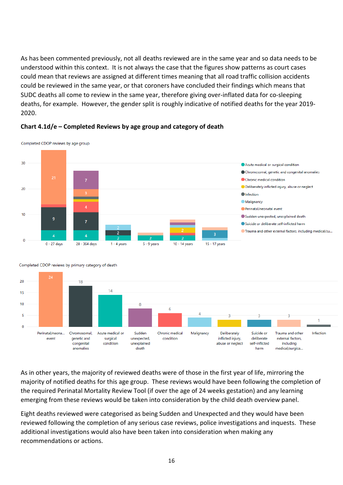As has been commented previously, not all deaths reviewed are in the same year and so data needs to be understood within this context. It is not always the case that the figures show patterns as court cases could mean that reviews are assigned at different times meaning that all road traffic collision accidents could be reviewed in the same year, or that coroners have concluded their findings which means that SUDC deaths all come to review in the same year, therefore giving over-inflated data for co-sleeping deaths, for example. However, the gender split is roughly indicative of notified deaths for the year 2019- 2020.



#### **Chart 4.1d/e – Completed Reviews by age group and category of death**

Completed CDOP reviews by age group



Completed CDOP reviews by primary category of death

As in other years, the majority of reviewed deaths were of those in the first year of life, mirroring the majority of notified deaths for this age group. These reviews would have been following the completion of the required Perinatal Mortality Review Tool (if over the age of 24 weeks gestation) and any learning emerging from these reviews would be taken into consideration by the child death overview panel.

Eight deaths reviewed were categorised as being Sudden and Unexpected and they would have been reviewed following the completion of any serious case reviews, police investigations and inquests. These additional investigations would also have been taken into consideration when making any recommendations or actions.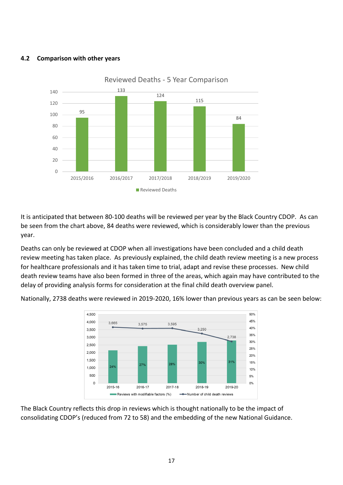#### **4.2 Comparison with other years**



It is anticipated that between 80-100 deaths will be reviewed per year by the Black Country CDOP. As can be seen from the chart above, 84 deaths were reviewed, which is considerably lower than the previous year.

Deaths can only be reviewed at CDOP when all investigations have been concluded and a child death review meeting has taken place. As previously explained, the child death review meeting is a new process for healthcare professionals and it has taken time to trial, adapt and revise these processes. New child death review teams have also been formed in three of the areas, which again may have contributed to the delay of providing analysis forms for consideration at the final child death overview panel.

Nationally, 2738 deaths were reviewed in 2019-2020, 16% lower than previous years as can be seen below:



The Black Country reflects this drop in reviews which is thought nationally to be the impact of consolidating CDOP's (reduced from 72 to 58) and the embedding of the new National Guidance.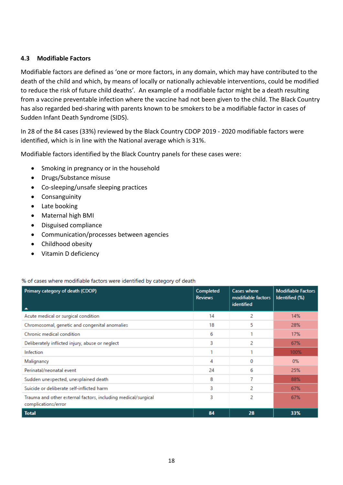#### **4.3 Modifiable Factors**

Modifiable factors are defined as 'one or more factors, in any domain, which may have contributed to the death of the child and which, by means of locally or nationally achievable interventions, could be modified to reduce the risk of future child deaths'*.* An example of a modifiable factor might be a death resulting from a vaccine preventable infection where the vaccine had not been given to the child. The Black Country has also regarded bed-sharing with parents known to be smokers to be a modifiable factor in cases of Sudden Infant Death Syndrome (SIDS).

In 28 of the 84 cases (33%) reviewed by the Black Country CDOP 2019 - 2020 modifiable factors were identified, which is in line with the National average which is 31%.

Modifiable factors identified by the Black Country panels for these cases were:

- Smoking in pregnancy or in the household
- Drugs/Substance misuse
- Co-sleeping/unsafe sleeping practices
- Consanguinity
- Late booking
- Maternal high BMI
- Disguised compliance
- Communication/processes between agencies
- Childhood obesity
- Vitamin D deficiency

#### % of cases where modifiable factors were identified by category of death

| Primary category of death (CDOP)<br>$\blacktriangle$                                 | Completed<br><b>Reviews</b> | <b>Cases where</b><br>modifiable factors<br>identified | <b>Modifiable Factors</b><br>Identified (%) |
|--------------------------------------------------------------------------------------|-----------------------------|--------------------------------------------------------|---------------------------------------------|
| Acute medical or surgical condition                                                  | 14                          | 2                                                      | 14%                                         |
| Chromosomal, genetic and congenital anomalies                                        | 18                          | 5                                                      | 28%                                         |
| Chronic medical condition                                                            | 6                           |                                                        | 17%                                         |
| Deliberately inflicted injury, abuse or neglect                                      | 3                           | 2                                                      | 67%                                         |
| Infection                                                                            |                             |                                                        | 100%                                        |
| Malignancy                                                                           | 4                           | 0                                                      | $0\%$                                       |
| Perinatal/neonatal event                                                             | 24                          | 6                                                      | 25%                                         |
| Sudden unexpected, unexplained death                                                 | 8                           | 7                                                      | 88%                                         |
| Suicide or deliberate self-inflicted harm                                            | 3                           | 2                                                      | 67%                                         |
| Trauma and other external factors, including medical/surgical<br>complications/error | 3                           | 2                                                      | 67%                                         |
| <b>Total</b>                                                                         | 84                          | 28                                                     | 33%                                         |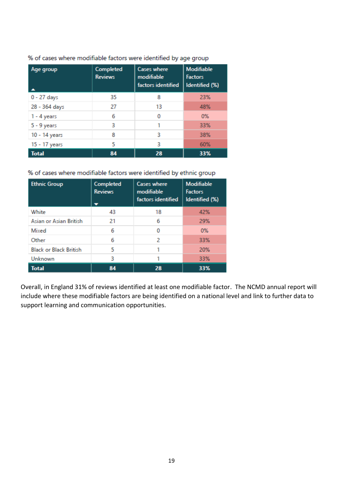| Age group     | Completed<br><b>Reviews</b> | <b>Cases where</b><br>modifiable<br>factors identified | <b>Modifiable</b><br><b>Factors</b><br>Identified (%) |
|---------------|-----------------------------|--------------------------------------------------------|-------------------------------------------------------|
| 0 - 27 days   | 35                          | 8                                                      | 23%                                                   |
| 28 - 364 days | 27                          | 13                                                     | 48%                                                   |
| $1 - 4$ years | 6                           | 0                                                      | $0\%$                                                 |
| $5 - 9$ years | 3                           | 1                                                      | 33%                                                   |
| 10 - 14 years | 8                           | 3                                                      | 38%                                                   |
| 15 - 17 years | 5                           | 3                                                      | 60%                                                   |
| <b>Total</b>  | 84                          | 28                                                     | 33%                                                   |

% of cases where modifiable factors were identified by age group

% of cases where modifiable factors were identified by ethnic group

| <b>Ethnic Group</b>           | Completed<br><b>Reviews</b> | <b>Cases where</b><br>modifiable<br>factors identified | <b>Modifiable</b><br><b>Factors</b><br>Identified (%) |
|-------------------------------|-----------------------------|--------------------------------------------------------|-------------------------------------------------------|
| White                         | 43                          | 18                                                     | 42%                                                   |
| Asian or Asian British        | 21                          | 6                                                      | 29%                                                   |
| Mixed                         | 6                           | o                                                      | 0%                                                    |
| Other                         | 6                           | 2                                                      | 33%                                                   |
| <b>Black or Black British</b> | 5                           | 1                                                      | 20%                                                   |
| Unknown                       | 3                           | 1                                                      | 33%                                                   |
| <b>Total</b>                  | 84                          | 28                                                     | 33%                                                   |

Overall, in England 31% of reviews identified at least one modifiable factor. The NCMD annual report will include where these modifiable factors are being identified on a national level and link to further data to support learning and communication opportunities.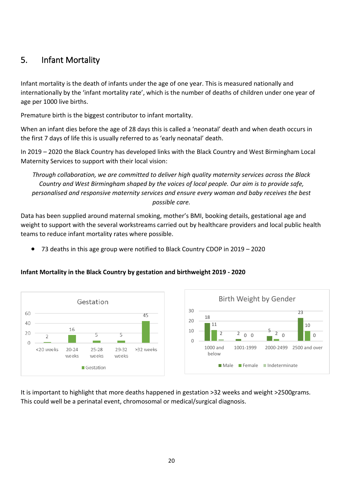### <span id="page-19-0"></span>5. Infant Mortality

Infant mortality is the death of infants under the age of one year. This is measured nationally and internationally by the 'infant mortality rate', which is the number of deaths of children under one year of age per 1000 live births.

Premature birth is the biggest contributor to infant mortality.

When an infant dies before the age of 28 days this is called a 'neonatal' death and when death occurs in the first 7 days of life this is usually referred to as 'early neonatal' death.

In 2019 – 2020 the Black Country has developed links with the Black Country and West Birmingham Local Maternity Services to support with their local vision:

*Through collaboration, we are committed to deliver high quality maternity services across the Black Country and West Birmingham shaped by the voices of local people. Our aim is to provide safe, personalised and responsive maternity services and ensure every woman and baby receives the best possible care.*

Data has been supplied around maternal smoking, mother's BMI, booking details, gestational age and weight to support with the several workstreams carried out by healthcare providers and local public health teams to reduce infant mortality rates where possible.

• 73 deaths in this age group were notified to Black Country CDOP in 2019 – 2020

#### **Infant Mortality in the Black Country by gestation and birthweight 2019 - 2020**





It is important to highlight that more deaths happened in gestation >32 weeks and weight >2500grams. This could well be a perinatal event, chromosomal or medical/surgical diagnosis.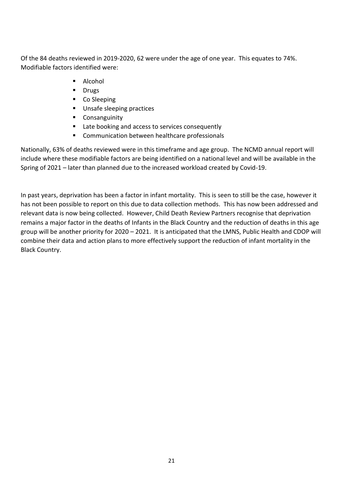Of the 84 deaths reviewed in 2019-2020, 62 were under the age of one year. This equates to 74%. Modifiable factors identified were:

- Alcohol
- Drugs
- Co Sleeping
- Unsafe sleeping practices
- Consanguinity
- Late booking and access to services consequently
- Communication between healthcare professionals

Nationally, 63% of deaths reviewed were in this timeframe and age group. The NCMD annual report will include where these modifiable factors are being identified on a national level and will be available in the Spring of 2021 – later than planned due to the increased workload created by Covid-19.

In past years, deprivation has been a factor in infant mortality. This is seen to still be the case, however it has not been possible to report on this due to data collection methods. This has now been addressed and relevant data is now being collected. However, Child Death Review Partners recognise that deprivation remains a major factor in the deaths of Infants in the Black Country and the reduction of deaths in this age group will be another priority for 2020 – 2021. It is anticipated that the LMNS, Public Health and CDOP will combine their data and action plans to more effectively support the reduction of infant mortality in the Black Country.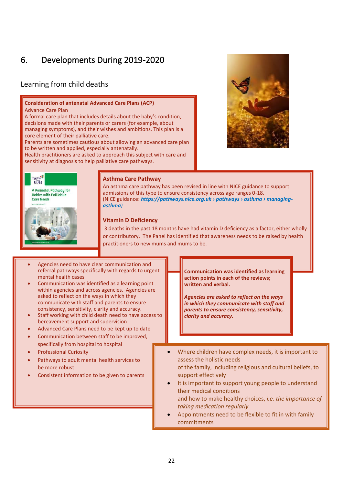## <span id="page-21-0"></span>6. Developments During 2019-2020

### Learning from child deaths

#### **Consideration of antenatal Advanced Care Plans (ACP)** Advance Care Plan

A formal care plan that includes details about the baby's condition, decisions made with their parents or carers (for example, about managing symptoms), and their wishes and ambitions. This plan is a core element of their palliative care.

Parents are sometimes cautious about allowing an advanced care plan to be written and applied, especially antenatally.

Health practitioners are asked to approach this subject with care and sensitivity at diagnosis to help palliative care pathways.





#### **Asthma Care Pathway**

An asthma care pathway has been revised in line with NICE guidance to support admissions of this type to ensure consistency across age ranges 0-18. (NICE guidance: *https://pathways.nice.org.uk › pathways › asthma › managingasthma)*

#### **Vitamin D Deficiency**

3 deaths in the past 18 months have had vitamin D deficiency as a factor, either wholly or contributory. The Panel has identified that awareness needs to be raised by health practitioners to new mums and mums to be.

- Agencies need to have clear communication and referral pathways specifically with regards to urgent mental health cases
- Communication was identified as a learning point within agencies and across agencies. Agencies are asked to reflect on the ways in which they communicate with staff and parents to ensure consistency, sensitivity, clarity and accuracy.
- Staff working with child death need to have access to bereavement support and supervision
- Advanced Care Plans need to be kept up to date
- Communication between staff to be improved, specifically from hospital to hospital
- Professional Curiosity
- Pathways to adult mental health services to be more robust
- Consistent information to be given to parents

**Communication was identified as learning action points in each of the reviews; written and verbal.**

*Agencies are asked to reflect on the ways in which they communicate with staff and parents to ensure consistency, sensitivity, clarity and accuracy.*

• Where children have complex needs, it is important to assess the holistic needs

of the family, including religious and cultural beliefs, to support effectively

- It is important to support young people to understand their medical conditions and how to make healthy choices, *i.e. the importance of taking medication regularly*
- Appointments need to be flexible to fit in with family commitments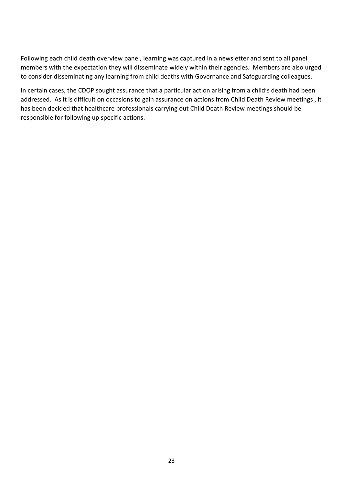Following each child death overview panel, learning was captured in a newsletter and sent to all panel members with the expectation they will disseminate widely within their agencies. Members are also urged to consider disseminating any learning from child deaths with Governance and Safeguarding colleagues.

In certain cases, the CDOP sought assurance that a particular action arising from a child's death had been addressed. As it is difficult on occasions to gain assurance on actions from Child Death Review meetings , it has been decided that healthcare professionals carrying out Child Death Review meetings should be responsible for following up specific actions.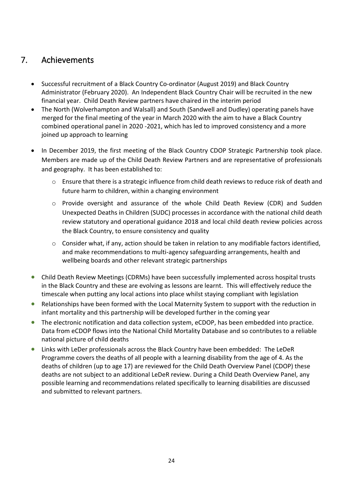## <span id="page-23-0"></span>7. Achievements

- Successful recruitment of a Black Country Co-ordinator (August 2019) and Black Country Administrator (February 2020). An Independent Black Country Chair will be recruited in the new financial year. Child Death Review partners have chaired in the interim period
- The North (Wolverhampton and Walsall) and South (Sandwell and Dudley) operating panels have merged for the final meeting of the year in March 2020 with the aim to have a Black Country combined operational panel in 2020 -2021, which has led to improved consistency and a more joined up approach to learning
- In December 2019, the first meeting of the Black Country CDOP Strategic Partnership took place. Members are made up of the Child Death Review Partners and are representative of professionals and geography. It has been established to:
	- o Ensure that there is a strategic influence from child death reviews to reduce risk of death and future harm to children, within a changing environment
	- o Provide oversight and assurance of the whole Child Death Review (CDR) and Sudden Unexpected Deaths in Children (SUDC) processes in accordance with the national child death review statutory and operational guidance 2018 and local child death review policies across the Black Country, to ensure consistency and quality
	- o Consider what, if any, action should be taken in relation to any modifiable factors identified, and make recommendations to multi-agency safeguarding arrangements, health and wellbeing boards and other relevant strategic partnerships
- Child Death Review Meetings (CDRMs) have been successfully implemented across hospital trusts in the Black Country and these are evolving as lessons are learnt. This will effectively reduce the timescale when putting any local actions into place whilst staying compliant with legislation
- Relationships have been formed with the Local Maternity System to support with the reduction in infant mortality and this partnership will be developed further in the coming year
- The electronic notification and data collection system, eCDOP, has been embedded into practice. Data from eCDOP flows into the National Child Mortality Database and so contributes to a reliable national picture of child deaths
- Links with LeDer professionals across the Black Country have been embedded: The LeDeR Programme covers the deaths of all people with a learning disability from the age of 4. As the deaths of children (up to age 17) are reviewed for the Child Death Overview Panel (CDOP) these deaths are not subject to an additional LeDeR review. During a Child Death Overview Panel, any possible learning and recommendations related specifically to learning disabilities are discussed and submitted to relevant partners.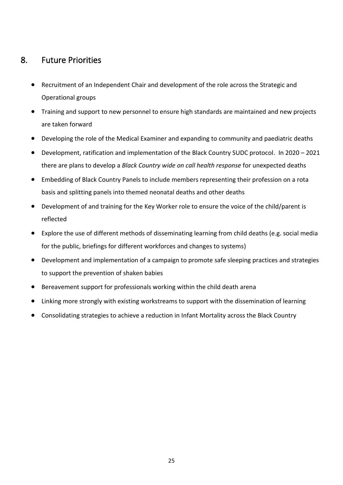### <span id="page-24-0"></span>8. Future Priorities

- Recruitment of an Independent Chair and development of the role across the Strategic and Operational groups
- Training and support to new personnel to ensure high standards are maintained and new projects are taken forward
- Developing the role of the Medical Examiner and expanding to community and paediatric deaths
- Development, ratification and implementation of the Black Country SUDC protocol. In 2020 2021 there are plans to develop a *Black Country wide on call health response* for unexpected deaths
- Embedding of Black Country Panels to include members representing their profession on a rota basis and splitting panels into themed neonatal deaths and other deaths
- Development of and training for the Key Worker role to ensure the voice of the child/parent is reflected
- Explore the use of different methods of disseminating learning from child deaths (e.g. social media for the public, briefings for different workforces and changes to systems)
- Development and implementation of a campaign to promote safe sleeping practices and strategies to support the prevention of shaken babies
- Bereavement support for professionals working within the child death arena
- Linking more strongly with existing workstreams to support with the dissemination of learning
- Consolidating strategies to achieve a reduction in Infant Mortality across the Black Country